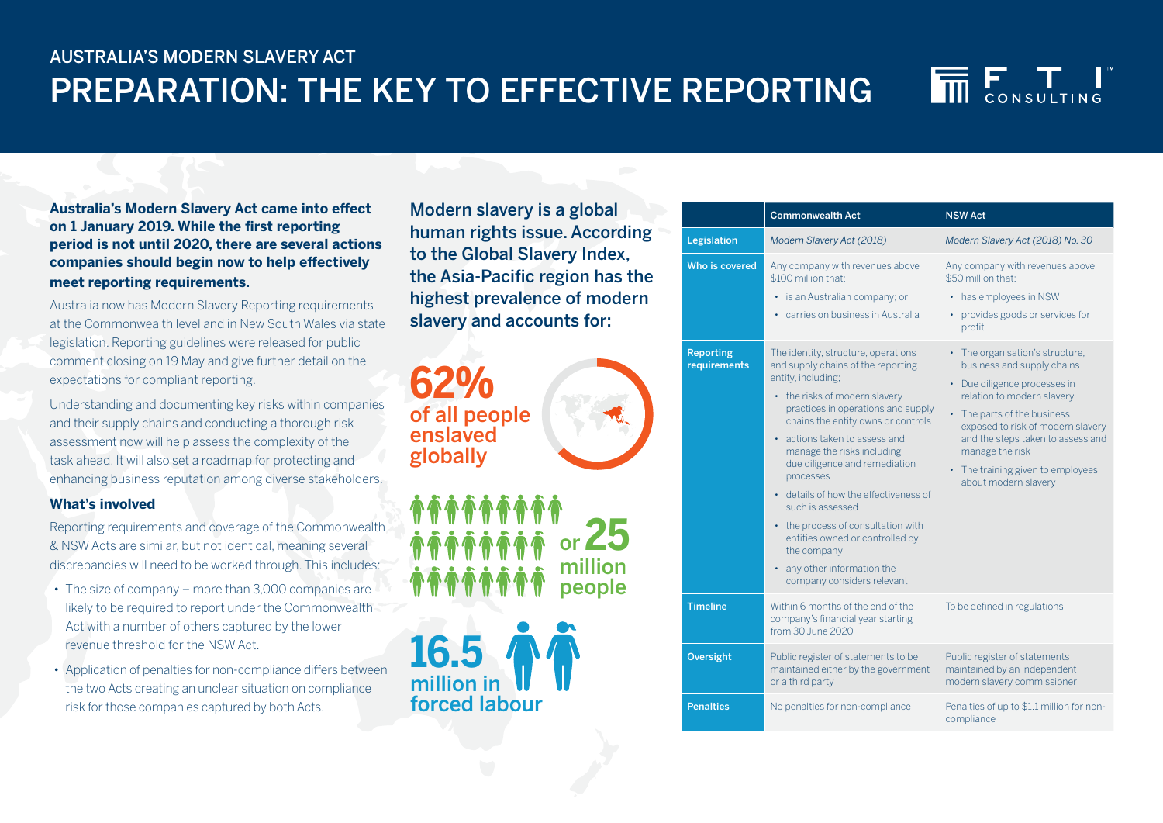## AUSTRALIA'S MODERN SLAVERY ACT PREPARATION: THE KEY TO EFFECTIVE REPORTING



**Australia's Modern Slavery Act came into effect on 1 January 2019. While the first reporting period is not until 2020, there are several actions companies should begin now to help effectively meet reporting requirements.**

Australia now has Modern Slavery Reporting requirements at the Commonwealth level and in New South Wales via state legislation. Reporting guidelines were released for public comment closing on 19 May and give further detail on the expectations for compliant reporting.

Understanding and documenting key risks within companies and their supply chains and conducting a thorough risk assessment now will help assess the complexity of the task ahead. It will also set a roadmap for protecting and enhancing business reputation among diverse stakeholders.

### **What's involved**

Reporting requirements and coverage of the Commonwealth & NSW Acts are similar, but not identical, meaning several discrepancies will need to be worked through. This includes:

- The size of company more than 3,000 companies are likely to be required to report under the Commonwealth Act with a number of others captured by the lower revenue threshold for the NSW Act.
- Application of penalties for non-compliance differs between the two Acts creating an unclear situation on compliance risk for those companies captured by both Acts.

Modern slavery is a global human rights issue. According to the Global Slavery Index, the Asia-Pacific region has the highest prevalence of modern slavery and accounts for:





|                                  | <b>Commonwealth Act</b>                                                                                                                                                                                                                                                                                                                                                                                                                                                                                                                     | <b>NSW Act</b>                                                                                                                                                                                                                                                                                                     |
|----------------------------------|---------------------------------------------------------------------------------------------------------------------------------------------------------------------------------------------------------------------------------------------------------------------------------------------------------------------------------------------------------------------------------------------------------------------------------------------------------------------------------------------------------------------------------------------|--------------------------------------------------------------------------------------------------------------------------------------------------------------------------------------------------------------------------------------------------------------------------------------------------------------------|
| Legislation                      | Modern Slavery Act (2018)                                                                                                                                                                                                                                                                                                                                                                                                                                                                                                                   | Modern Slavery Act (2018) No. 30                                                                                                                                                                                                                                                                                   |
| Who is covered                   | Any company with revenues above<br>\$100 million that:<br>• is an Australian company; or<br>carries on business in Australia                                                                                                                                                                                                                                                                                                                                                                                                                | Any company with revenues above<br>\$50 million that:<br>has employees in NSW<br>provides goods or services for<br>$\bullet$<br>profit                                                                                                                                                                             |
| <b>Reporting</b><br>requirements | The identity, structure, operations<br>and supply chains of the reporting<br>entity, including;<br>• the risks of modern slavery<br>practices in operations and supply<br>chains the entity owns or controls<br>• actions taken to assess and<br>manage the risks including<br>due diligence and remediation<br>processes<br>• details of how the effectiveness of<br>such is assessed<br>• the process of consultation with<br>entities owned or controlled by<br>the company<br>• any other information the<br>company considers relevant | • The organisation's structure,<br>business and supply chains<br>• Due diligence processes in<br>relation to modern slavery<br>The parts of the business<br>exposed to risk of modern slavery<br>and the steps taken to assess and<br>manage the risk<br>• The training given to employees<br>about modern slavery |
| <b>Timeline</b>                  | Within 6 months of the end of the<br>company's financial year starting<br>from 30 June 2020                                                                                                                                                                                                                                                                                                                                                                                                                                                 | To be defined in regulations                                                                                                                                                                                                                                                                                       |
| <b>Oversight</b>                 | Public register of statements to be<br>maintained either by the government<br>or a third party                                                                                                                                                                                                                                                                                                                                                                                                                                              | Public register of statements<br>maintained by an independent<br>modern slavery commissioner                                                                                                                                                                                                                       |
| <b>Penalties</b>                 | No penalties for non-compliance                                                                                                                                                                                                                                                                                                                                                                                                                                                                                                             | Penalties of up to \$1.1 million for non-<br>compliance                                                                                                                                                                                                                                                            |